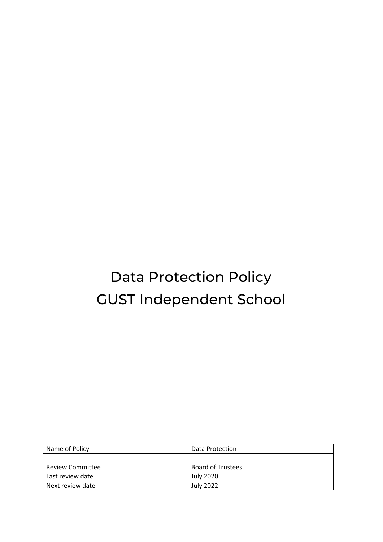# Data Protection Policy GUST Independent School

| Name of Policy          | Data Protection          |
|-------------------------|--------------------------|
|                         |                          |
| <b>Review Committee</b> | <b>Board of Trustees</b> |
| Last review date        | July 2020                |
| Next review date        | <b>July 2022</b>         |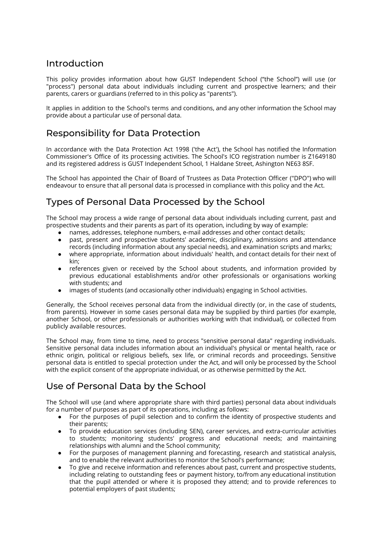## Introduction

This policy provides information about how GUST Independent School ("the School") will use (or "process") personal data about individuals including current and prospective learners; and their parents, carers or guardians (referred to in this policy as "parents").

It applies in addition to the School's terms and conditions, and any other information the School may provide about a particular use of personal data.

## Responsibility for Data Protection

In accordance with the Data Protection Act 1998 ('the Act'), the School has notified the Information Commissioner's Office of its processing activities. The School's ICO registration number is Z1649180 and its registered address is GUST Independent School, 1 Haldane Street, Ashington NE63 8SF.

The School has appointed the Chair of Board of Trustees as Data Protection Officer ("DPO") who will endeavour to ensure that all personal data is processed in compliance with this policy and the Act.

# Types of Personal Data Processed by the School

The School may process a wide range of personal data about individuals including current, past and prospective students and their parents as part of its operation, including by way of example:

- 
- names, addresses, telephone numbers, e-mail addresses and other contact details;<br>• past. present and prospective students' academic, disciplinary, admissions and a past, present and prospective students' academic, disciplinary, admissions and attendance records (including information about any special needs), and examination scripts and marks;
- where appropriate, information about individuals' health, and contact details for their next of kin;
- references given or received by the School about students, and information provided by previous educational establishments and/or other professionals or organisations working with students; and
- images of students (and occasionally other individuals) engaging in School activities.

Generally, the School receives personal data from the individual directly (or, in the case of students, from parents). However in some cases personal data may be supplied by third parties (for example, another School, or other professionals or authorities working with that individual), or collected from publicly available resources.

The School may, from time to time, need to process "sensitive personal data" regarding individuals. Sensitive personal data includes information about an individual's physical or mental health, race or ethnic origin, political or religious beliefs, sex life, or criminal records and proceedings. Sensitive personal data is entitled to special protection under the Act, and will only be processed by the School with the explicit consent of the appropriate individual, or as otherwise permitted by the Act.

# Use of Personal Data by the School

The School will use (and where appropriate share with third parties) personal data about individuals for a number of purposes as part of its operations, including as follows:

- For the purposes of pupil selection and to confirm the identity of prospective students and their parents;
- To provide education services (including SEN), career services, and extra-curricular activities to students; monitoring students' progress and educational needs; and maintaining relationships with alumni and the School community;
- For the purposes of management planning and forecasting, research and statistical analysis, and to enable the relevant authorities to monitor the School's performance;
- To give and receive information and references about past, current and prospective students, including relating to outstanding fees or payment history, to/from any educational institution that the pupil attended or where it is proposed they attend; and to provide references to potential employers of past students;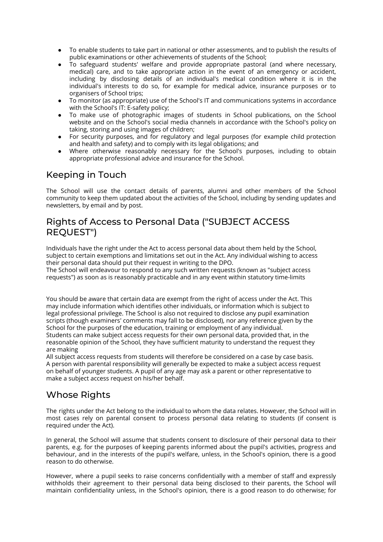- To enable students to take part in national or other assessments, and to publish the results of public examinations or other achievements of students of the School;
- To safeguard students' welfare and provide appropriate pastoral (and where necessary, medical) care, and to take appropriate action in the event of an emergency or accident, including by disclosing details of an individual's medical condition where it is in the individual's interests to do so, for example for medical advice, insurance purposes or to organisers of School trips;
- To monitor (as appropriate) use of the School's IT and communications systems in accordance with the School's IT: E-safety policy;
- To make use of photographic images of students in School publications, on the School website and on the School's social media channels in accordance with the School's policy on taking, storing and using images of children;
- For security purposes, and for regulatory and legal purposes (for example child protection and health and safety) and to comply with its legal obligations; and
- Where otherwise reasonably necessary for the School's purposes, including to obtain appropriate professional advice and insurance for the School.

#### Keeping in Touch

The School will use the contact details of parents, alumni and other members of the School community to keep them updated about the activities of the School, including by sending updates and newsletters, by email and by post.

#### Rights of Access to Personal Data ("SUBJECT ACCESS REQUEST")

Individuals have the right under the Act to access personal data about them held by the School, subject to certain exemptions and limitations set out in the Act. Any individual wishing to access their personal data should put their request in writing to the DPO.

The School will endeavour to respond to any such written requests (known as "subject access requests") as soon as is reasonably practicable and in any event within statutory time-limits

You should be aware that certain data are exempt from the right of access under the Act. This may include information which identifies other individuals, or information which is subject to legal professional privilege. The School is also not required to disclose any pupil examination scripts (though examiners' comments may fall to be disclosed), nor any reference given by the School for the purposes of the education, training or employment of any individual. Students can make subject access requests for their own personal data, provided that, in the reasonable opinion of the School, they have sufficient maturity to understand the request they are making

All subject access requests from students will therefore be considered on a case by case basis. A person with parental responsibility will generally be expected to make a subject access request on behalf of younger students. A pupil of any age may ask a parent or other representative to make a subject access request on his/her behalf.

## Whose Rights

The rights under the Act belong to the individual to whom the data relates. However, the School will in most cases rely on parental consent to process personal data relating to students (if consent is required under the Act).

In general, the School will assume that students consent to disclosure of their personal data to their parents, e.g. for the purposes of keeping parents informed about the pupil's activities, progress and behaviour, and in the interests of the pupil's welfare, unless, in the School's opinion, there is a good reason to do otherwise.

However, where a pupil seeks to raise concerns confidentially with a member of staff and expressly withholds their agreement to their personal data being disclosed to their parents, the School will maintain confidentiality unless, in the School's opinion, there is a good reason to do otherwise; for